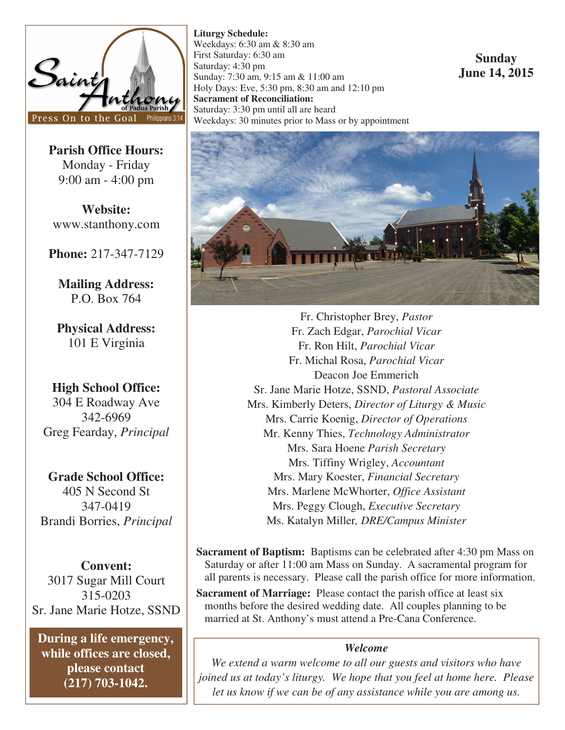

**Parish Office Hours:**  Monday - Friday 9:00 am - 4:00 pm

**Website:**  www.stanthony.com

**Phone:** 217-347-7129

**Mailing Address:**  P.O. Box 764

**Physical Address:**  101 E Virginia

**High School Office:**  304 E Roadway Ave 342-6969 Greg Fearday, *Principal* 

**Grade School Office:**  405 N Second St 347-0419 Brandi Borries, *Principal* 

**Convent:**  3017 Sugar Mill Court 315-0203 Sr. Jane Marie Hotze, SSND

**During a life emergency, while offices are closed, please contact (217) 703-1042.** 

**Liturgy Schedule:**  Weekdays: 6:30 am & 8:30 am First Saturday: 6:30 am Saturday: 4:30 pm Sunday: 7:30 am, 9:15 am & 11:00 am Holy Days: Eve, 5:30 pm, 8:30 am and 12:10 pm **Sacrament of Reconciliation:**  Saturday: 3:30 pm until all are heard Weekdays: 30 minutes prior to Mass or by appointment

**Sunday June 14, 2015** 



Fr. Christopher Brey, *Pastor*  Fr. Zach Edgar, *Parochial Vicar* Fr. Ron Hilt, *Parochial Vicar*  Fr. Michal Rosa, *Parochial Vicar* Deacon Joe Emmerich Sr. Jane Marie Hotze, SSND, *Pastoral Associate*  Mrs. Kimberly Deters, *Director of Liturgy & Music*  Mrs. Carrie Koenig, *Director of Operations*  Mr. Kenny Thies, *Technology Administrator*  Mrs. Sara Hoene *Parish Secretary* Mrs. Tiffiny Wrigley, *Accountant*  Mrs. Mary Koester, *Financial Secretary* Mrs. Marlene McWhorter, *Office Assistant*  Mrs. Peggy Clough, *Executive Secretary*  Ms. Katalyn Miller*, DRE/Campus Minister* 

**Sacrament of Baptism:** Baptisms can be celebrated after 4:30 pm Mass on Saturday or after 11:00 am Mass on Sunday. A sacramental program for all parents is necessary. Please call the parish office for more information.

**Sacrament of Marriage:** Please contact the parish office at least six months before the desired wedding date. All couples planning to be married at St. Anthony's must attend a Pre-Cana Conference.

## *Welcome*

*We extend a warm welcome to all our guests and visitors who have joined us at today's liturgy. We hope that you feel at home here. Please let us know if we can be of any assistance while you are among us.*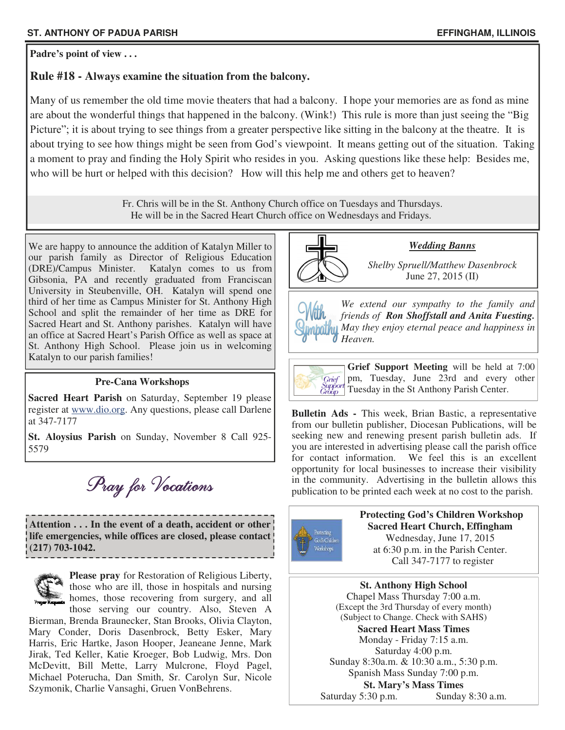**Padre's point of view . . .** 

## **Rule #18 - Always examine the situation from the balcony.**

Many of us remember the old time movie theaters that had a balcony. I hope your memories are as fond as mine are about the wonderful things that happened in the balcony. (Wink!) This rule is more than just seeing the "Big Picture"; it is about trying to see things from a greater perspective like sitting in the balcony at the theatre. It is about trying to see how things might be seen from God's viewpoint. It means getting out of the situation. Taking a moment to pray and finding the Holy Spirit who resides in you. Asking questions like these help: Besides me, who will be hurt or helped with this decision? How will this help me and others get to heaven?

> Fr. Chris will be in the St. Anthony Church office on Tuesdays and Thursdays. He will be in the Sacred Heart Church office on Wednesdays and Fridays.

We are happy to announce the addition of Katalyn Miller to our parish family as Director of Religious Education (DRE)/Campus Minister. Katalyn comes to us from Gibsonia, PA and recently graduated from Franciscan University in Steubenville, OH. Katalyn will spend one third of her time as Campus Minister for St. Anthony High School and split the remainder of her time as DRE for Sacred Heart and St. Anthony parishes. Katalyn will have an office at Sacred Heart's Parish Office as well as space at St. Anthony High School. Please join us in welcoming Katalyn to our parish families!

#### **Pre-Cana Workshops**

**Sacred Heart Parish** on Saturday, September 19 please register at www.dio.org. Any questions, please call Darlene at 347-7177

**St. Aloysius Parish** on Sunday, November 8 Call 925- 5579

Pray for Vocations

**Attention . . . In the event of a death, accident or other life emergencies, while offices are closed, please contact (217) 703-1042.** 



**Please pray** for Restoration of Religious Liberty, those who are ill, those in hospitals and nursing homes, those recovering from surgery, and all those serving our country. Also, Steven A

Bierman, Brenda Braunecker, Stan Brooks, Olivia Clayton, Mary Conder, Doris Dasenbrock, Betty Esker, Mary Harris, Eric Hartke, Jason Hooper, Jeaneane Jenne, Mark Jirak, Ted Keller, Katie Kroeger, Bob Ludwig, Mrs. Don McDevitt, Bill Mette, Larry Mulcrone, Floyd Pagel, Michael Poterucha, Dan Smith, Sr. Carolyn Sur, Nicole Szymonik, Charlie Vansaghi, Gruen VonBehrens.





*Shelby Spruell/Matthew Dasenbrock*  June 27, 2015 (II)

*We extend our sympathy to the family and friends of Ron Shoffstall and Anita Fuesting. May they enjoy eternal peace and happiness in Heaven.* 



**Grief Support Meeting** will be held at 7:00 pm, Tuesday, June 23rd and every other  $S_{tipport}$ Tuesday in the St Anthony Parish Center.

**Bulletin Ads -** This week, Brian Bastic, a representative from our bulletin publisher, Diocesan Publications, will be seeking new and renewing present parish bulletin ads. If you are interested in advertising please call the parish office for contact information. We feel this is an excellent opportunity for local businesses to increase their visibility in the community. Advertising in the bulletin allows this publication to be printed each week at no cost to the parish.



 **Protecting God's Children Workshop Sacred Heart Church, Effingham**  Wednesday, June 17, 2015 at 6:30 p.m. in the Parish Center. Call 347-7177 to register

**St. Anthony High School**  Chapel Mass Thursday 7:00 a.m. (Except the 3rd Thursday of every month) (Subject to Change. Check with SAHS) **Sacred Heart Mass Times**  Monday - Friday 7:15 a.m.

Saturday 4:00 p.m. Sunday 8:30a.m. & 10:30 a.m., 5:30 p.m. Spanish Mass Sunday 7:00 p.m. **St. Mary's Mass Times** 

Saturday 5:30 p.m. Sunday 8:30 a.m.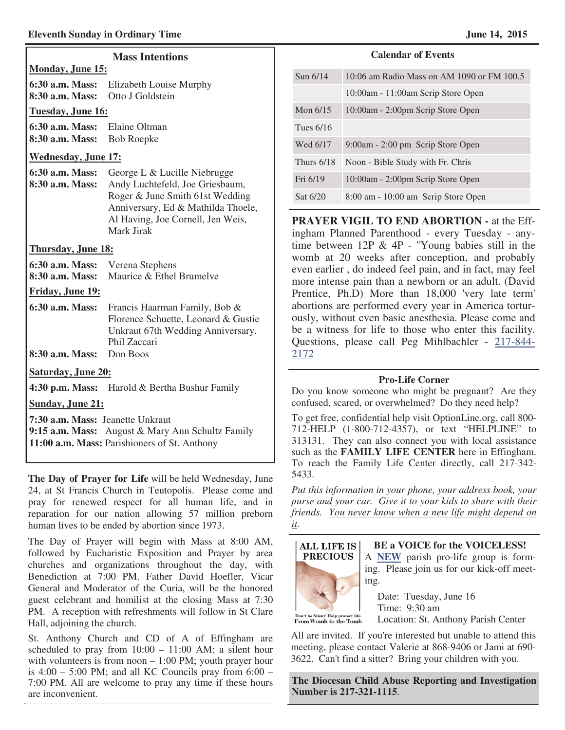# **Mass Intentions Monday, June 15: 6:30 a.m. Mass:** Elizabeth Louise Murphy **8:30 a.m. Mass:** Otto J Goldstein **Tuesday, June 16: 6:30 a.m. Mass:** Elaine Oltman **8:30 a.m. Mass:** Bob Roepke **Wednesday, June 17: 6:30 a.m. Mass:** George L & Lucille Niebrugge **8:30 a.m. Mass:** Andy Luchtefeld, Joe Griesbaum, Roger & June Smith 61st Wedding Anniversary, Ed & Mathilda Thoele, Al Having, Joe Cornell, Jen Weis, Mark Jirak **Thursday, June 18: 6:30 a.m. Mass:** Verena Stephens **8:30 a.m. Mass:** Maurice & Ethel Brumelve **Friday, June 19: 6:30 a.m. Mass:** Francis Haarman Family, Bob & Florence Schuette, Leonard & Gustie Unkraut 67th Wedding Anniversary, Phil Zaccari **8:30 a.m. Mass:** Don Boos **Saturday, June 20: 4:30 p.m. Mass:** Harold & Bertha Bushur Family **Sunday, June 21:**

**7:30 a.m. Mass:** Jeanette Unkraut **9:15 a.m. Mass:** August & Mary Ann Schultz Family **11:00 a.m. Mass:** Parishioners of St. Anthony

**The Day of Prayer for Life** will be held Wednesday, June 24, at St Francis Church in Teutopolis. Please come and pray for renewed respect for all human life, and in reparation for our nation allowing 57 million preborn human lives to be ended by abortion since 1973.

The Day of Prayer will begin with Mass at 8:00 AM, followed by Eucharistic Exposition and Prayer by area churches and organizations throughout the day, with Benediction at 7:00 PM. Father David Hoefler, Vicar General and Moderator of the Curia, will be the honored guest celebrant and homilist at the closing Mass at 7:30 PM. A reception with refreshments will follow in St Clare Hall, adjoining the church.

St. Anthony Church and CD of A of Effingham are scheduled to pray from  $10:00 - 11:00$  AM; a silent hour with volunteers is from noon  $-1:00$  PM; youth prayer hour is  $4:00 - 5:00 \text{ PM}$ ; and all KC Councils pray from  $6:00 -$ 7:00 PM. All are welcome to pray any time if these hours are inconvenient.

## **Calendar of Events**

| Sun 6/14     | 10:06 am Radio Mass on AM 1090 or FM 100.5 |
|--------------|--------------------------------------------|
|              | 10:00am - 11:00am Scrip Store Open         |
| Mon $6/15$   | 10:00am - 2:00pm Scrip Store Open          |
| Tues $6/16$  |                                            |
| Wed 6/17     | 9:00am - 2:00 pm Scrip Store Open          |
| Thurs $6/18$ | Noon - Bible Study with Fr. Chris          |
| Fri 6/19     | 10:00am - 2:00pm Scrip Store Open          |
| Sat 6/20     | 8:00 am - 10:00 am Scrip Store Open        |

**PRAYER VIGIL TO END ABORTION -** at the Effingham Planned Parenthood - every Tuesday - anytime between 12P & 4P - "Young babies still in the womb at 20 weeks after conception, and probably even earlier , do indeed feel pain, and in fact, may feel more intense pain than a newborn or an adult. (David Prentice, Ph.D) More than 18,000 'very late term' abortions are performed every year in America torturously, without even basic anesthesia. Please come and be a witness for life to those who enter this facility. Questions, please call Peg Mihlbachler - 217-844- 2172

## **Pro-Life Corner**

Do you know someone who might be pregnant? Are they confused, scared, or overwhelmed? Do they need help?

To get free, confidential help visit OptionLine.org, call 800- 712-HELP (1-800-712-4357), or text "HELPLINE" to 313131. They can also connect you with local assistance such as the **FAMILY LIFE CENTER** here in Effingham. To reach the Family Life Center directly, call 217-342- 5433.

*Put this information in your phone, your address book, your purse and your car. Give it to your kids to share with their friends. You never know when a new life might depend on it.*



**BE a VOICE for the VOICELESS!** A **NEW** parish pro-life group is forming. Please join us for our kick-off meet-

 Date: Tuesday, June 16 Time: 9:30 am

Don't be Silent! Help protect life.<br>**From Womb to the Tomb** 

Location: St. Anthony Parish Center

All are invited. If you're interested but unable to attend this meeting, please contact Valerie at 868-9406 or Jami at 690- 3622. Can't find a sitter? Bring your children with you.

**The Diocesan Child Abuse Reporting and Investigation Number is 217-321-1115**.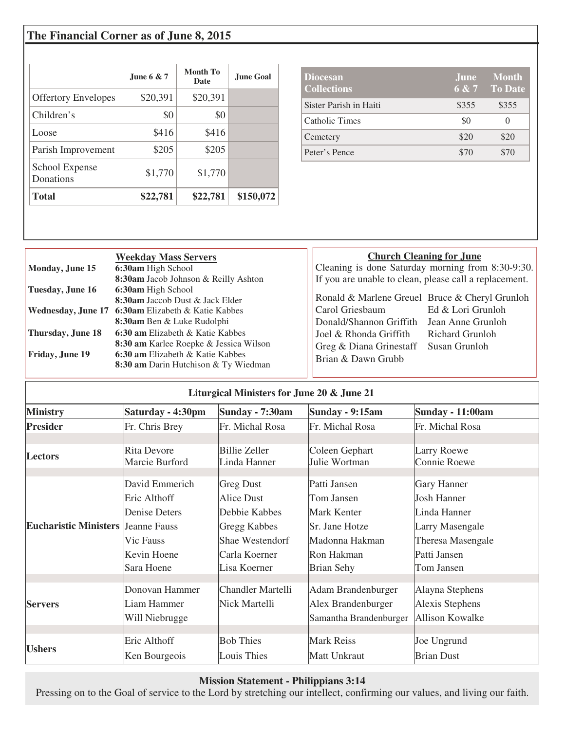# **The Financial Corner as of June 8, 2015**

|                             | June $6 & 7$ | Month To<br><b>Date</b> | <b>June Goal</b> |
|-----------------------------|--------------|-------------------------|------------------|
| <b>Offertory Envelopes</b>  | \$20,391     | \$20,391                |                  |
| Children's                  | \$0          | \$0                     |                  |
| Loose                       | \$416        | \$416                   |                  |
| Parish Improvement          | \$205        | \$205                   |                  |
| School Expense<br>Donations | \$1,770      | \$1,770                 |                  |
| <b>Total</b>                | \$22,781     | \$22,781                | \$150,072        |

| <b>Diocesan</b><br><b>Collections</b> | <b>June</b> | <b>Month</b><br>$6 & 7$ To Date |
|---------------------------------------|-------------|---------------------------------|
| Sister Parish in Haiti                | \$355       | \$355                           |
| Catholic Times                        | \$0         |                                 |
| Cemetery                              | \$20        | \$20                            |
| Peter's Pence                         | \$70        | \$70                            |

| Cleaning is done Saturday morning from 8:30-9:30.<br>6:30am High School<br>Monday, June 15<br>8:30am Jacob Johnson & Reilly Ashton<br>If you are unable to clean, please call a replacement.<br>6:30am High School<br>Tuesday, June 16<br>Ronald & Marlene Greuel Bruce & Cheryl Grunloh<br>8:30am Jaccob Dust & Jack Elder<br>Ed & Lori Grunloh<br>Carol Griesbaum<br>Wednesday, June 17 6:30am Elizabeth & Katie Kabbes<br>8:30am Ben & Luke Rudolphi<br>Donald/Shannon Griffith<br>Jean Anne Grunloh<br>6:30 am Elizabeth & Katie Kabbes<br>Thursday, June 18<br>Joel & Rhonda Griffith<br><b>Richard Grunloh</b> |
|----------------------------------------------------------------------------------------------------------------------------------------------------------------------------------------------------------------------------------------------------------------------------------------------------------------------------------------------------------------------------------------------------------------------------------------------------------------------------------------------------------------------------------------------------------------------------------------------------------------------|
|                                                                                                                                                                                                                                                                                                                                                                                                                                                                                                                                                                                                                      |
|                                                                                                                                                                                                                                                                                                                                                                                                                                                                                                                                                                                                                      |
|                                                                                                                                                                                                                                                                                                                                                                                                                                                                                                                                                                                                                      |
|                                                                                                                                                                                                                                                                                                                                                                                                                                                                                                                                                                                                                      |
|                                                                                                                                                                                                                                                                                                                                                                                                                                                                                                                                                                                                                      |
|                                                                                                                                                                                                                                                                                                                                                                                                                                                                                                                                                                                                                      |
|                                                                                                                                                                                                                                                                                                                                                                                                                                                                                                                                                                                                                      |
| 8:30 am Karlee Roepke & Jessica Wilson<br>Greg & Diana Grinestaff<br>Susan Grunloh                                                                                                                                                                                                                                                                                                                                                                                                                                                                                                                                   |
| 6:30 am Elizabeth & Katie Kabbes<br>Friday, June 19<br>Brian & Dawn Grubb                                                                                                                                                                                                                                                                                                                                                                                                                                                                                                                                            |
| 8:30 am Darin Hutchison & Ty Wiedman                                                                                                                                                                                                                                                                                                                                                                                                                                                                                                                                                                                 |

| Liturgical Ministers for June 20 & June 21 |                    |                 |               |  |
|--------------------------------------------|--------------------|-----------------|---------------|--|
| aturday - 4:30pm                           | Sunday - $7:30$ am | Sunday - 9:15am | <b>Sunday</b> |  |

| <b>Ministry</b>                           | Saturday - 4:30pm                    | Sunday - 7:30am                      | Sunday - 9:15am                 | <b>Sunday - 11:00am</b>     |
|-------------------------------------------|--------------------------------------|--------------------------------------|---------------------------------|-----------------------------|
| <b>Presider</b>                           | Fr. Chris Brey                       | Fr. Michal Rosa                      | Fr. Michal Rosa                 | Fr. Michal Rosa             |
| Lectors                                   | <b>Rita Devore</b><br>Marcie Burford | <b>Billie Zeller</b><br>Linda Hanner | Coleen Gephart<br>Julie Wortman | Larry Roewe<br>Connie Roewe |
|                                           | David Emmerich                       | <b>Greg Dust</b>                     | Patti Jansen                    | Gary Hanner                 |
|                                           | Eric Althoff                         | Alice Dust                           | Tom Jansen                      | Josh Hanner                 |
|                                           | Denise Deters                        | Debbie Kabbes                        | Mark Kenter                     | Linda Hanner                |
| <b>Eucharistic Ministers Jeanne Fauss</b> |                                      | Gregg Kabbes                         | Sr. Jane Hotze                  | <b>Larry Masengale</b>      |
|                                           | Vic Fauss                            | Shae Westendorf                      | Madonna Hakman                  | Theresa Masengale           |
|                                           | Kevin Hoene                          | Carla Koerner                        | Ron Hakman                      | Patti Jansen                |
|                                           | Sara Hoene                           | Lisa Koerner                         | <b>Brian Sehy</b>               | Tom Jansen                  |
|                                           | Donovan Hammer                       | <b>Chandler Martelli</b>             | Adam Brandenburger              | Alayna Stephens             |
| <b>Servers</b>                            | Liam Hammer                          | Nick Martelli                        | Alex Brandenburger              | Alexis Stephens             |
|                                           | Will Niebrugge                       |                                      | Samantha Brandenburger          | <b>Allison Kowalke</b>      |
|                                           |                                      |                                      |                                 |                             |
| <b>Ushers</b>                             | Eric Althoff                         | <b>Bob Thies</b>                     | <b>Mark Reiss</b>               | Joe Ungrund                 |
|                                           | Ken Bourgeois                        | Louis Thies                          | Matt Unkraut                    | <b>Brian Dust</b>           |

## **Mission Statement - Philippians 3:14**

Pressing on to the Goal of service to the Lord by stretching our intellect, confirming our values, and living our faith.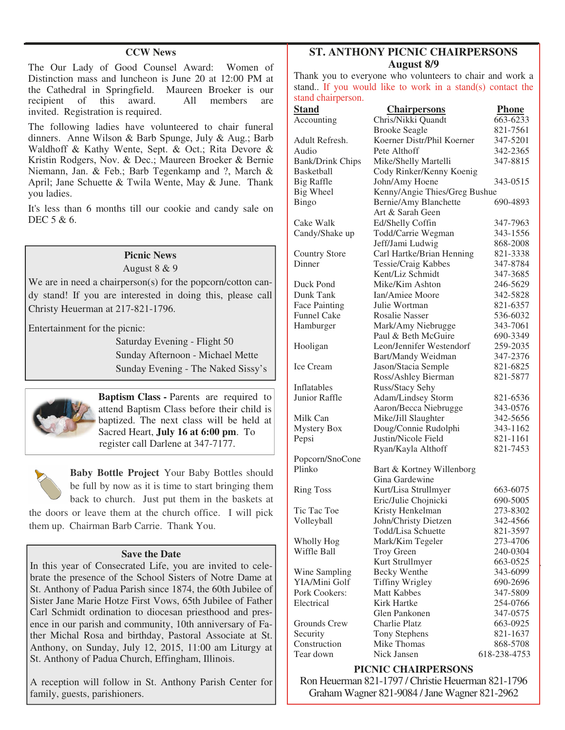#### **CCW News**

The Our Lady of Good Counsel Award: Women of Distinction mass and luncheon is June 20 at 12:00 PM at the Cathedral in Springfield. Maureen Broeker is our recipient of this award. All members are invited. Registration is required.

The following ladies have volunteered to chair funeral dinners. Anne Wilson & Barb Spunge, July & Aug.; Barb Waldhoff & Kathy Wente, Sept. & Oct.; Rita Devore & Kristin Rodgers, Nov. & Dec.; Maureen Broeker & Bernie Niemann, Jan. & Feb.; Barb Tegenkamp and ?, March & April; Jane Schuette & Twila Wente, May & June. Thank you ladies.

It's less than 6 months till our cookie and candy sale on DEC 5 & 6.

#### **Picnic News**  August 8 & 9

We are in need a chairperson(s) for the popcorn/cotton candy stand! If you are interested in doing this, please call Christy Heuerman at 217-821-1796.

Entertainment for the picnic:

 Saturday Evening - Flight 50 Sunday Afternoon - Michael Mette Sunday Evening - The Naked Sissy's



**Baptism Class - Parents are required to** attend Baptism Class before their child is baptized. The next class will be held at Sacred Heart, **July 16 at 6:00 pm**. To register call Darlene at 347-7177.

**Baby Bottle Project** Your Baby Bottles should be full by now as it is time to start bringing them back to church. Just put them in the baskets at the doors or leave them at the church office. I will pick them up. Chairman Barb Carrie. Thank You.

#### **Save the Date**

In this year of Consecrated Life, you are invited to celebrate the presence of the School Sisters of Notre Dame at St. Anthony of Padua Parish since 1874, the 60th Jubilee of Sister Jane Marie Hotze First Vows, 65th Jubilee of Father Carl Schmidt ordination to diocesan priesthood and presence in our parish and community, 10th anniversary of Father Michal Rosa and birthday, Pastoral Associate at St. Anthony, on Sunday, July 12, 2015, 11:00 am Liturgy at St. Anthony of Padua Church, Effingham, Illinois.

A reception will follow in St. Anthony Parish Center for family, guests, parishioners.

## **ST. ANTHONY PICNIC CHAIRPERSONS August 8/9**

Thank you to everyone who volunteers to chair and work a stand.. If you would like to work in a stand(s) contact the stand chairperson.

| <u>Stand</u>            | <b>Chairpersons</b>           | <b>Phone</b> |
|-------------------------|-------------------------------|--------------|
| Accounting              | Chris/Nikki Quandt            | 663-6233     |
|                         | <b>Brooke Seagle</b>          | 821-7561     |
| Adult Refresh.          | Koerner Distr/Phil Koerner    | 347-5201     |
| Audio                   | Pete Althoff                  | 342-2365     |
| <b>Bank/Drink Chips</b> | Mike/Shelly Martelli          | 347-8815     |
| <b>Basketball</b>       | Cody Rinker/Kenny Koenig      |              |
| Big Raffle              | John/Amy Hoene                | 343-0515     |
| Big Wheel               | Kenny/Angie Thies/Greg Bushue |              |
| Bingo                   | Bernie/Amy Blanchette         | 690-4893     |
|                         | Art & Sarah Geen              |              |
| Cake Walk               | Ed/Shelly Coffin              | 347-7963     |
| Candy/Shake up          | Todd/Carrie Wegman            | 343-1556     |
|                         | Jeff/Jami Ludwig              | 868-2008     |
| <b>Country Store</b>    | Carl Hartke/Brian Henning     | 821-3338     |
| Dinner                  | Tessie/Craig Kabbes           | 347-8784     |
|                         | Kent/Liz Schmidt              | 347-3685     |
| Duck Pond               | Mike/Kim Ashton               | 246-5629     |
| Dunk Tank               | Ian/Amiee Moore               | 342-5828     |
| <b>Face Painting</b>    | Julie Wortman                 | 821-6357     |
| <b>Funnel Cake</b>      | Rosalie Nasser                | 536-6032     |
| Hamburger               | Mark/Amy Niebrugge            | 343-7061     |
|                         | Paul & Beth McGuire           | 690-3349     |
| Hooligan                | Leon/Jennifer Westendorf      | 259-2035     |
|                         | Bart/Mandy Weidman            | 347-2376     |
| Ice Cream               | Jason/Stacia Semple           | 821-6825     |
|                         | Ross/Ashley Bierman           | 821-5877     |
| Inflatables             | Russ/Stacy Sehy               |              |
| Junior Raffle           | Adam/Lindsey Storm            | 821-6536     |
|                         | Aaron/Becca Niebrugge         | 343-0576     |
| Milk Can                | Mike/Jill Slaughter           | 342-5656     |
| Mystery Box             | Doug/Connie Rudolphi          | 343-1162     |
| Pepsi                   | Justin/Nicole Field           | 821-1161     |
|                         | Ryan/Kayla Althoff            | 821-7453     |
| Popcorn/SnoCone         |                               |              |
| Plinko                  | Bart & Kortney Willenborg     |              |
|                         | Gina Gardewine                |              |
| <b>Ring Toss</b>        | Kurt/Lisa Strullmyer          | 663-6075     |
|                         | Eric/Julie Chojnicki          | 690-5005     |
| Tic Tac Toe             | Kristy Henkelman              | 273-8302     |
| Volleyball              | John/Christy Dietzen          | 342-4566     |
|                         | Todd/Lisa Schuette            | 821-3597     |
| Wholly Hog              | Mark/Kim Tegeler              | 273-4706     |
| Wiffle Ball             | Troy Green                    | 240-0304     |
|                         | Kurt Strullmyer               | 663-0525     |
| Wine Sampling           | Becky Wenthe                  | 343-6099     |
| YIA/Mini Golf           | <b>Tiffiny Wrigley</b>        | 690-2696     |
| Pork Cookers:           | <b>Matt Kabbes</b>            | 347-5809     |
| Electrical              | Kirk Hartke                   | 254-0766     |
|                         | Glen Pankonen                 | 347-0575     |
| Grounds Crew            | Charlie Platz                 | 663-0925     |
| Security                | Tony Stephens                 | 821-1637     |
| Construction            | Mike Thomas                   | 868-5708     |
| Tear down               | Nick Jansen                   | 618-238-4753 |
|                         |                               |              |

**PICNIC CHAIRPERSONS**  Ron Heuerman 821-1797 / Christie Heuerman 821-1796

Graham Wagner 821-9084 / Jane Wagner 821-2962